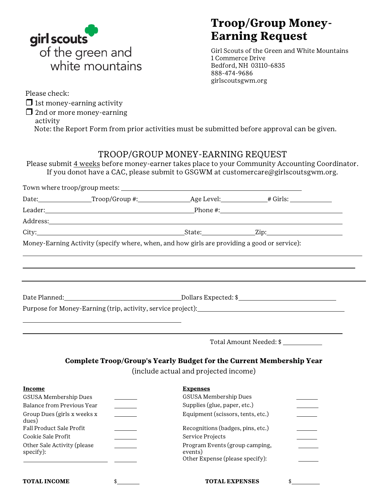

## **Troop/Group Money-Earning Request**

Girl Scouts of the Green and White Mountains 1 Commerce Drive Bedford, NH 03110-6835 888-474-9686 girlscoutsgwm.org

Please check:

 $\Box$  1st money-earning activity

 $\Box$  2nd or more money-earning

activity

Note: the Report Form from prior activities must be submitted before approval can be given.

#### TROOP/GROUP MONEY-EARNING REQUEST

Please submit  $\frac{4 \text{ weeks}}{2 \text{ before money-earner takes place to your Community According Coordinator.}}$ If you donot have a CAC, please submit to GSGWM at [customercare@girlscoutsgwm.org.](mailto:customercare@girlscoutsgwm.org)

|                                          |    |                                                                                              | Date: Troop/Group #: Age Level: # Girls:                                          |  |  |
|------------------------------------------|----|----------------------------------------------------------------------------------------------|-----------------------------------------------------------------------------------|--|--|
|                                          |    |                                                                                              |                                                                                   |  |  |
|                                          |    |                                                                                              |                                                                                   |  |  |
|                                          |    |                                                                                              |                                                                                   |  |  |
|                                          |    | Money-Earning Activity (specify where, when, and how girls are providing a good or service): |                                                                                   |  |  |
|                                          |    |                                                                                              |                                                                                   |  |  |
|                                          |    |                                                                                              |                                                                                   |  |  |
|                                          |    |                                                                                              |                                                                                   |  |  |
|                                          |    |                                                                                              |                                                                                   |  |  |
|                                          |    |                                                                                              | Purpose for Money-Earning (trip, activity, service project):_____________________ |  |  |
|                                          |    |                                                                                              |                                                                                   |  |  |
|                                          |    |                                                                                              |                                                                                   |  |  |
|                                          |    |                                                                                              | Total Amount Needed: \$                                                           |  |  |
|                                          |    |                                                                                              |                                                                                   |  |  |
|                                          |    |                                                                                              | Complete Troop/Group's Yearly Budget for the Current Membership Year              |  |  |
|                                          |    | (include actual and projected income)                                                        |                                                                                   |  |  |
| <b>Income</b>                            |    | <b>Expenses</b>                                                                              |                                                                                   |  |  |
| GSUSA Membership Dues                    |    | GSUSA Membership Dues                                                                        |                                                                                   |  |  |
| Balance from Previous Year               |    | Supplies (glue, paper, etc.)                                                                 |                                                                                   |  |  |
| Group Dues (girls x weeks x<br>dues)     |    | Equipment (scissors, tents, etc.)                                                            |                                                                                   |  |  |
| Fall Product Sale Profit                 |    | Recognitions (badges, pins, etc.)                                                            |                                                                                   |  |  |
| Cookie Sale Profit                       |    | Service Projects                                                                             |                                                                                   |  |  |
| Other Sale Activity (please<br>specify): |    | Program Events (group camping,<br>events)                                                    |                                                                                   |  |  |
|                                          |    | Other Expense (please specify):                                                              |                                                                                   |  |  |
|                                          |    |                                                                                              |                                                                                   |  |  |
| <b>TOTAL INCOME</b>                      | \$ | <b>TOTAL EXPENSES</b>                                                                        | \$                                                                                |  |  |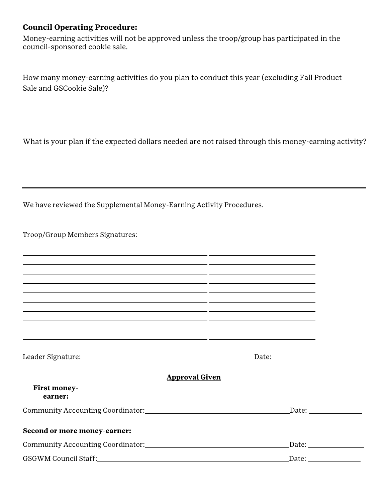#### **Council Operating Procedure:**

Money-earning activities will not be approved unless the troop/group has participated in the council- sponsored cookie sale.

How many money-earning activities do you plan to conduct this year (excluding Fall Product Sale and GSCookie Sale)?

What is your plan if the expected dollars needed are not raised through this money-earning activity?

We have reviewed the Supplemental Money-Earning Activity Procedures.

Troop/Group Members Signatures:

| <u> 2000 - Andrea Andrew Amerikaanse kommunister († 2000)</u>                                                         |                         |
|-----------------------------------------------------------------------------------------------------------------------|-------------------------|
|                                                                                                                       |                         |
| <u> 1989 - Johann John Stone, mensk politik (f. 1989)</u>                                                             |                         |
|                                                                                                                       |                         |
| <u> 2003 - Johann Stoff, Amerikaansk politiker (d. 1982)</u>                                                          |                         |
| <u> 1989 - Andrea Santa Andrea Andrea Andrea Andrea Andrea Andrea Andrea Andrea Andrea Andrea Andrea Andrea Andr</u>  |                         |
| <u> 1990 - Jan James James Barnett, amerikan berlindar (h. 1980).</u>                                                 |                         |
| <u> 1989 - Johann Johann Stoff, deutscher Stoffen und der Stoffen und der Stoffen und der Stoffen und der Stoffen</u> |                         |
| <u> 1989 - Andrea Santa Andrea Santa Andrea Santa Andrea Santa Andrea Santa Andrea Santa Andrea Santa Andrea San</u>  |                         |
| Leader Signature: Manual Communication of the Signature:                                                              |                         |
| <b>Approval Given</b>                                                                                                 |                         |
| First money-<br>earner:                                                                                               |                         |
|                                                                                                                       |                         |
| Second or more money-earner:                                                                                          |                         |
|                                                                                                                       |                         |
|                                                                                                                       | Date: _________________ |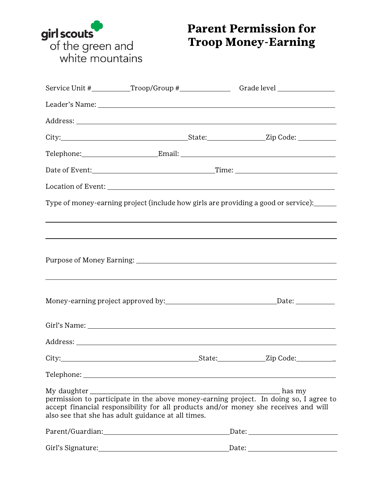

# **Parent Permission for Troop Money-Earning**

|                                                                                                                                                                                                                                |  | Service Unit #___________Troop/Group #___________________Grade level ____________                                                                                                                                                                |  |
|--------------------------------------------------------------------------------------------------------------------------------------------------------------------------------------------------------------------------------|--|--------------------------------------------------------------------------------------------------------------------------------------------------------------------------------------------------------------------------------------------------|--|
|                                                                                                                                                                                                                                |  |                                                                                                                                                                                                                                                  |  |
|                                                                                                                                                                                                                                |  |                                                                                                                                                                                                                                                  |  |
|                                                                                                                                                                                                                                |  |                                                                                                                                                                                                                                                  |  |
|                                                                                                                                                                                                                                |  | Telephone: Email: Email: Email: Email: Email: Email: Email: Email: Email: Email: Email: Email: Email: Email: Email: Email: Email: Email: Email: Email: Email: Email: Email: Email: Email: Email: Email: Email: Email: Email: E                   |  |
|                                                                                                                                                                                                                                |  |                                                                                                                                                                                                                                                  |  |
|                                                                                                                                                                                                                                |  |                                                                                                                                                                                                                                                  |  |
|                                                                                                                                                                                                                                |  | Type of money-earning project (include how girls are providing a good or service): _____                                                                                                                                                         |  |
|                                                                                                                                                                                                                                |  | ,我们也不会有什么。""我们的人,我们也不会有什么?""我们的人,我们也不会有什么?""我们的人,我们也不会有什么?""我们的人,我们也不会有什么?""我们的人<br><u> 1989 - Andrea Santa Andrea Santa Andrea Santa Andrea Santa Andrea Santa Andrea Santa Andrea Santa Andrea San</u>                                         |  |
|                                                                                                                                                                                                                                |  | ,我们也不会有什么。""我们的人,我们也不会有什么?""我们的人,我们也不会有什么?""我们的人,我们也不会有什么?""我们的人,我们也不会有什么?""我们的人                                                                                                                                                                 |  |
|                                                                                                                                                                                                                                |  |                                                                                                                                                                                                                                                  |  |
|                                                                                                                                                                                                                                |  |                                                                                                                                                                                                                                                  |  |
|                                                                                                                                                                                                                                |  |                                                                                                                                                                                                                                                  |  |
|                                                                                                                                                                                                                                |  |                                                                                                                                                                                                                                                  |  |
|                                                                                                                                                                                                                                |  |                                                                                                                                                                                                                                                  |  |
| also see that she has adult guidance at all times.                                                                                                                                                                             |  | $\begin{minipage}{0.9\linewidth} My daughter \end{minipage}$ has my permission to participate in the above money-earning project. In doing so, I agree to<br>accept financial responsibility for all products and/or money she receives and will |  |
| Parent/Guardian: Management Control of the Management Control of the Management Control of the Management Control of the Management Control of the Management Control of the Management Control of the Management Control of t |  |                                                                                                                                                                                                                                                  |  |
|                                                                                                                                                                                                                                |  |                                                                                                                                                                                                                                                  |  |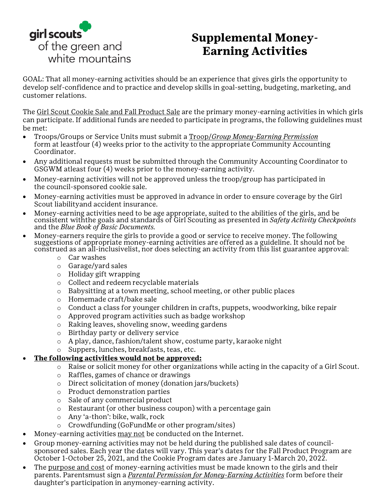

## **Supplemental Money-Earning Activities**

GOAL: That all money-earning activities should be an experience that gives girls the opportunity to develop self-confidence and to practice and develop skills in goal-setting, budgeting, marketing, and customer relations.

The Girl Scout Cookie Sale and Fall Product Sale are the primary money-earning activities in which girls can participate. If additional funds are needed to participate in programs, the following guidelines must be met:

- Troops/Groups or Service Units must submit a Troop/*Group Money-Earning Permission* form at leastfour (4) weeks prior to the activity to the appropriate Community Accounting Coordinator.
- Any additional requests must be submitted through the Community Accounting Coordinator to GSGWM atleast four (4) weeks prior to the money-earning activity.
- Money-earning activities will not be approved unless the troop/group has participated in the council- sponsored cookie sale.
- Money-earning activities must be approved in advance in order to ensure coverage by the Girl Scout liability and accident insurance.
- Money-earning activities need to be age appropriate, suited to the abilities of the girls, and be consistent withthe goals and standards of Girl Scouting as presented in *Safety Activity Checkpoints*  and the *Blue Book of Basic Documents.*
- Money-earners require the girls to provide a good or service to receive money. The following suggestions of appropriate money-earning activities are offered as a guideline. It should not be construed as an all-inclusivelist, nor does selecting an activity from this list guarantee approval:
	- o Car washes
	- o Garage/yard sales
	- o Holiday gift wrapping
	- o Collect and redeem recyclable materials
	- o Babysitting at a town meeting, school meeting, or other public places
	- o Homemade craft/bake sale
	- $\circ$  Conduct a class for younger children in crafts, puppets, woodworking, bike repair
	- o Approved program activities such as badge workshop
	- o Raking leaves, shoveling snow, weeding gardens
	- o Birthday party or delivery service
	- o A play, dance, fashion/talent show, costume party, karaoke night
	- o Suppers, lunches, breakfasts, teas, etc.

#### • **The following activities would not be approved:**

- o Raise or solicit money for other organizations while acting in the capacity of a Girl Scout.
- o Raffles, games of chance or drawings
- o Direct solicitation of money (donation jars/buckets)
- o Product demonstration parties
- o Sale of any commercial product
- o Restaurant (or other business coupon) with a percentage gain
- o Any 'a-thon': bike, walk, rock
- o Crowdfunding (GoFundMe or other program/sites)
- Money-earning activities may not be conducted on the Internet.
- Group money-earning activities may not be held during the published sale dates of councilsponsored sales. Each year the dates will vary. This year's dates for the Fall Product Program are October 1-October 25, 2021, and the Cookie Program dates are January 1-March 20, 2022.
- The purpose and cost of money-earning activities must be made known to the girls and their parents. Parentsmust sign a *Parental Permission for Money-Earning Activities* form before their daughter's participation in anymoney-earning activity.